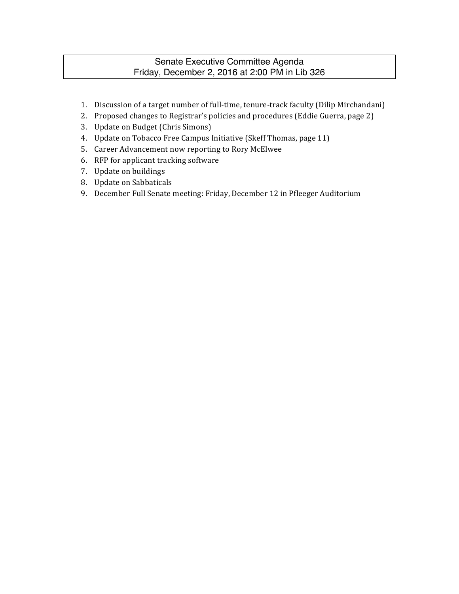# Senate Executive Committee Agenda Friday, December 2, 2016 at 2:00 PM in Lib 326

- 1. Discussion of a target number of full-time, tenure-track faculty (Dilip Mirchandani)
- 2. Proposed changes to Registrar's policies and procedures (Eddie Guerra, page 2)
- 3. Update on Budget (Chris Simons)
- 4. Update on Tobacco Free Campus Initiative (Skeff Thomas, page 11)
- 5. Career Advancement now reporting to Rory McElwee
- 6. RFP for applicant tracking software
- 7. Update on buildings
- 8. Update on Sabbaticals
- 9. December Full Senate meeting: Friday, December 12 in Pfleeger Auditorium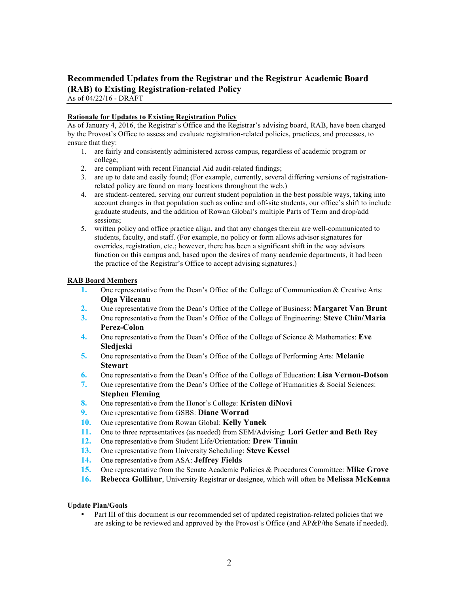# **Recommended Updates from the Registrar and the Registrar Academic Board (RAB) to Existing Registration-related Policy**

As of 04/22/16 - DRAFT

#### **Rationale for Updates to Existing Registration Policy**

As of January 4, 2016, the Registrar's Office and the Registrar's advising board, RAB, have been charged by the Provost's Office to assess and evaluate registration-related policies, practices, and processes, to ensure that they:

- 1. are fairly and consistently administered across campus, regardless of academic program or college;
- 2. are compliant with recent Financial Aid audit-related findings;
- 3. are up to date and easily found; (For example, currently, several differing versions of registrationrelated policy are found on many locations throughout the web.)
- 4. are student-centered, serving our current student population in the best possible ways, taking into account changes in that population such as online and off-site students, our office's shift to include graduate students, and the addition of Rowan Global's multiple Parts of Term and drop/add sessions;
- 5. written policy and office practice align, and that any changes therein are well-communicated to students, faculty, and staff. (For example, no policy or form allows advisor signatures for overrides, registration, etc.; however, there has been a significant shift in the way advisors function on this campus and, based upon the desires of many academic departments, it had been the practice of the Registrar's Office to accept advising signatures.)

#### **RAB Board Members**

- **1.** One representative from the Dean's Office of the College of Communication & Creative Arts: **Olga Vilceanu**
- **2.** One representative from the Dean's Office of the College of Business: **Margaret Van Brunt**
- **3.** One representative from the Dean's Office of the College of Engineering: **Steve Chin/Maria Perez-Colon**
- **4.** One representative from the Dean's Office of the College of Science & Mathematics: **Eve Sledjeski**
- **5.** One representative from the Dean's Office of the College of Performing Arts: **Melanie Stewart**
- **6.** One representative from the Dean's Office of the College of Education: **Lisa Vernon-Dotson**
- **7.** One representative from the Dean's Office of the College of Humanities & Social Sciences: **Stephen Fleming**
- **8.** One representative from the Honor's College: **Kristen diNovi**
- **9.** One representative from GSBS: **Diane Worrad**
- **10.** One representative from Rowan Global: **Kelly Yanek**
- **11.** One to three representatives (as needed) from SEM/Advising: **Lori Getler and Beth Rey**
- **12.** One representative from Student Life/Orientation: **Drew Tinnin**
- **13.** One representative from University Scheduling: **Steve Kessel**
- **14.** One representative from ASA: **Jeffrey Fields**
- **15.** One representative from the Senate Academic Policies & Procedures Committee: **Mike Grove**
- **16. Rebecca Gollihur**, University Registrar or designee, which will often be **Melissa McKenna**

#### **Update Plan/Goals**

• Part III of this document is our recommended set of updated registration-related policies that we are asking to be reviewed and approved by the Provost's Office (and AP&P/the Senate if needed).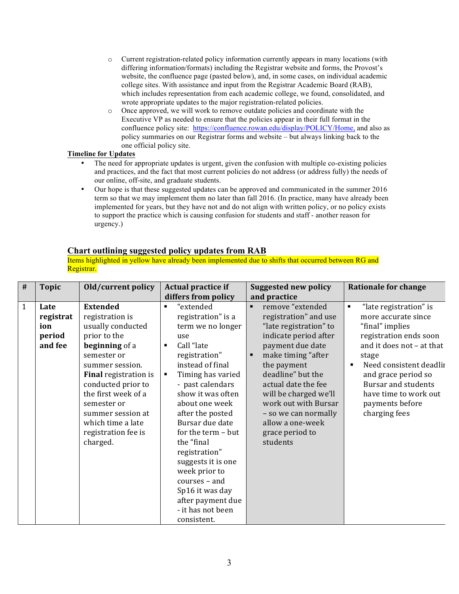- $\circ$  Current registration-related policy information currently appears in many locations (with differing information/formats) including the Registrar website and forms, the Provost's website, the confluence page (pasted below), and, in some cases, on individual academic college sites. With assistance and input from the Registrar Academic Board (RAB), which includes representation from each academic college, we found, consolidated, and wrote appropriate updates to the major registration-related policies.
- o Once approved, we will work to remove outdate policies and coordinate with the Executive VP as needed to ensure that the policies appear in their full format in the confluence policy site: https://confluence.rowan.edu/display/POLICY/Home, and also as policy summaries on our Registrar forms and website – but always linking back to the one official policy site.

#### **Timeline for Updates**

- The need for appropriate updates is urgent, given the confusion with multiple co-existing policies and practices, and the fact that most current policies do not address (or address fully) the needs of our online, off-site, and graduate students.
- Our hope is that these suggested updates can be approved and communicated in the summer 2016 term so that we may implement them no later than fall 2016. (In practice, many have already been implemented for years, but they have not and do not align with written policy, or no policy exists to support the practice which is causing confusion for students and staff - another reason for urgency.)

### **Chart outlining suggested policy updates from RAB**

Items highlighted in yellow have already been implemented due to shifts that occurred between RG and Registrar.

| #            | <b>Topic</b>                                  | Old/current policy                                                                                                                                                                                                                                                                                   | Actual practice if<br>differs from policy                                                                                                                                                                                                                                                                                                                                                                                                | <b>Suggested new policy</b><br>and practice                                                                                                                                                                                                                                                                                                     | <b>Rationale for change</b>                                                                                                                                                                                                                                                                          |
|--------------|-----------------------------------------------|------------------------------------------------------------------------------------------------------------------------------------------------------------------------------------------------------------------------------------------------------------------------------------------------------|------------------------------------------------------------------------------------------------------------------------------------------------------------------------------------------------------------------------------------------------------------------------------------------------------------------------------------------------------------------------------------------------------------------------------------------|-------------------------------------------------------------------------------------------------------------------------------------------------------------------------------------------------------------------------------------------------------------------------------------------------------------------------------------------------|------------------------------------------------------------------------------------------------------------------------------------------------------------------------------------------------------------------------------------------------------------------------------------------------------|
| $\mathbf{1}$ | Late<br>registrat<br>ion<br>period<br>and fee | <b>Extended</b><br>registration is<br>usually conducted<br>prior to the<br>beginning of a<br>semester or<br>summer session.<br><b>Final registration is</b><br>conducted prior to<br>the first week of a<br>semester or<br>summer session at<br>which time a late<br>registration fee is<br>charged. | "extended<br>٠<br>registration" is a<br>term we no longer<br>use<br>Call "late<br>registration"<br>instead of final<br>Timing has varied<br>٠<br>- past calendars<br>show it was often<br>about one week<br>after the posted<br>Bursar due date<br>for the term - but<br>the "final<br>registration"<br>suggests it is one<br>week prior to<br>courses - and<br>Sp16 it was day<br>after payment due<br>- it has not been<br>consistent. | remove "extended<br>$\blacksquare$<br>registration" and use<br>"late registration" to<br>indicate period after<br>payment due date<br>make timing "after<br>the payment<br>deadline" but the<br>actual date the fee<br>will be charged we'll<br>work out with Bursar<br>- so we can normally<br>allow a one-week<br>grace period to<br>students | "late registration" is<br>٠<br>more accurate since<br>"final" implies<br>registration ends soon<br>and it does not - at that<br>stage<br>Need consistent deadlin<br>$\blacksquare$<br>and grace period so<br><b>Bursar and students</b><br>have time to work out<br>payments before<br>charging fees |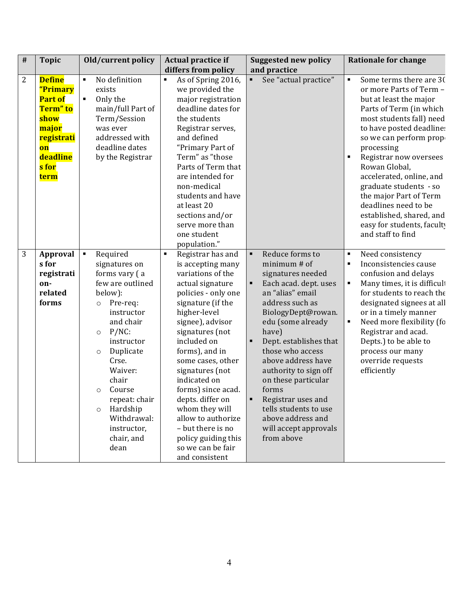| # | <b>Topic</b>                                                                                                                     | Old/current policy                                                                                                                                                                                                                                                                                                                            | <b>Actual practice if</b>                                                                                                                                                                                                                                                                                                                                                                                                                                          | <b>Suggested new policy</b>                                                                                                                                                                                                                                                                                                                                                                                                     | <b>Rationale for change</b>                                                                                                                                                                                                                                                                                                                                                                                                                                       |
|---|----------------------------------------------------------------------------------------------------------------------------------|-----------------------------------------------------------------------------------------------------------------------------------------------------------------------------------------------------------------------------------------------------------------------------------------------------------------------------------------------|--------------------------------------------------------------------------------------------------------------------------------------------------------------------------------------------------------------------------------------------------------------------------------------------------------------------------------------------------------------------------------------------------------------------------------------------------------------------|---------------------------------------------------------------------------------------------------------------------------------------------------------------------------------------------------------------------------------------------------------------------------------------------------------------------------------------------------------------------------------------------------------------------------------|-------------------------------------------------------------------------------------------------------------------------------------------------------------------------------------------------------------------------------------------------------------------------------------------------------------------------------------------------------------------------------------------------------------------------------------------------------------------|
|   |                                                                                                                                  |                                                                                                                                                                                                                                                                                                                                               | differs from policy                                                                                                                                                                                                                                                                                                                                                                                                                                                | and practice                                                                                                                                                                                                                                                                                                                                                                                                                    |                                                                                                                                                                                                                                                                                                                                                                                                                                                                   |
| 2 | <b>Define</b><br>"Primary<br><b>Part of</b><br>Term" to<br>show<br>major<br><b>registrati</b><br>on<br>deadline<br>s for<br>term | $\blacksquare$<br>No definition<br>exists<br>Only the<br>$\blacksquare$<br>main/full Part of<br>Term/Session<br>was ever<br>addressed with<br>deadline dates<br>by the Registrar                                                                                                                                                              | As of Spring 2016,<br>٠<br>we provided the<br>major registration<br>deadline dates for<br>the students<br>Registrar serves,<br>and defined<br>"Primary Part of<br>Term" as "those<br>Parts of Term that<br>are intended for<br>non-medical<br>students and have<br>at least 20<br>sections and/or<br>serve more than<br>one student<br>population."                                                                                                                | See "actual practice"<br>٠                                                                                                                                                                                                                                                                                                                                                                                                      | Some terms there are 30<br>٠<br>or more Parts of Term -<br>but at least the major<br>Parts of Term (in which<br>most students fall) need<br>to have posted deadline:<br>so we can perform prop-<br>processing<br>Registrar now oversees<br>$\blacksquare$<br>Rowan Global,<br>accelerated, online, and<br>graduate students - so<br>the major Part of Term<br>deadlines need to be<br>established, shared, and<br>easy for students, faculty<br>and staff to find |
| 3 | Approval<br>s for<br>registrati<br>on-<br>related<br>forms                                                                       | Required<br>$\blacksquare$<br>signatures on<br>forms vary (a<br>few are outlined<br>below):<br>Pre-req:<br>$\circ$<br>instructor<br>and chair<br>$P/NC$ :<br>$\circ$<br>instructor<br>Duplicate<br>$\circ$<br>Crse.<br>Waiver:<br>chair<br>Course<br>repeat: chair<br>Hardship<br>$\circ$<br>Withdrawal:<br>instructor,<br>chair, and<br>dean | Registrar has and<br>$\blacksquare$<br>is accepting many<br>variations of the<br>actual signature<br>policies - only one<br>signature (if the<br>higher-level<br>signee), advisor<br>signatures (not<br>included on<br>forms), and in<br>some cases, other<br>signatures (not<br>indicated on<br>forms) since acad.<br>depts. differ on<br>whom they will<br>allow to authorize<br>- but there is no<br>policy guiding this<br>so we can be fair<br>and consistent | Reduce forms to<br>٠<br>minimum # of<br>signatures needed<br>Each acad. dept. uses<br>٠<br>an "alias" email<br>address such as<br>BiologyDept@rowan.<br>edu (some already<br>have)<br>Dept. establishes that<br>those who access<br>above address have<br>authority to sign off<br>on these particular<br>forms<br>٠<br>Registrar uses and<br>tells students to use<br>above address and<br>will accept approvals<br>from above | Need consistency<br>$\blacksquare$<br>Inconsistencies cause<br>$\blacksquare$<br>confusion and delays<br>Many times, it is difficult<br>for students to reach the<br>designated signees at all<br>or in a timely manner<br>٠<br>Need more flexibility (fo<br>Registrar and acad.<br>Depts.) to be able to<br>process our many<br>override requests<br>efficiently                                                                                                 |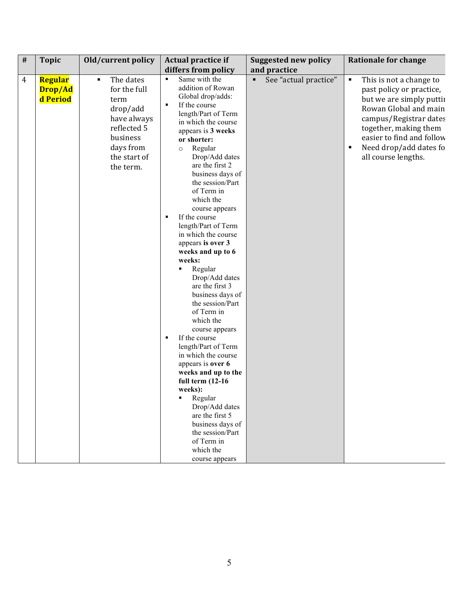| # | <b>Topic</b>                                                                                                                                              | Old/current policy<br>Actual practice if                                                                                                                                                                                                                                                                                                                                                                                                                                                                                                                                                                                                                                                                                                                                                                                                                                                                   | <b>Suggested new policy</b> | <b>Rationale for change</b>                                                                                                                                                                                                                         |
|---|-----------------------------------------------------------------------------------------------------------------------------------------------------------|------------------------------------------------------------------------------------------------------------------------------------------------------------------------------------------------------------------------------------------------------------------------------------------------------------------------------------------------------------------------------------------------------------------------------------------------------------------------------------------------------------------------------------------------------------------------------------------------------------------------------------------------------------------------------------------------------------------------------------------------------------------------------------------------------------------------------------------------------------------------------------------------------------|-----------------------------|-----------------------------------------------------------------------------------------------------------------------------------------------------------------------------------------------------------------------------------------------------|
|   |                                                                                                                                                           | differs from policy                                                                                                                                                                                                                                                                                                                                                                                                                                                                                                                                                                                                                                                                                                                                                                                                                                                                                        | and practice                |                                                                                                                                                                                                                                                     |
| 4 | Regular<br>The dates<br>٠<br>for the full<br>Drop/Ad<br>d Period<br>term<br>drop/add<br>reflected 5<br>business<br>days from<br>the start of<br>the term. | Same with the<br>$\blacksquare$<br>addition of Rowan<br>Global drop/adds:<br>If the course<br>٠<br>length/Part of Term<br>have always<br>in which the course<br>appears is 3 weeks<br>or shorter:<br>Regular<br>$\circ$<br>Drop/Add dates<br>are the first 2<br>business days of<br>the session/Part<br>of Term in<br>which the<br>course appears<br>If the course<br>٠<br>length/Part of Term<br>in which the course<br>appears is over 3<br>weeks and up to 6<br>weeks:<br>Regular<br>Drop/Add dates<br>are the first 3<br>business days of<br>the session/Part<br>of Term in<br>which the<br>course appears<br>If the course<br>٠<br>length/Part of Term<br>in which the course<br>appears is over 6<br>weeks and up to the<br>full term $(12-16)$<br>weeks):<br>Regular<br>٠<br>Drop/Add dates<br>are the first 5<br>business days of<br>the session/Part<br>of Term in<br>which the<br>course appears | See "actual practice"<br>٠  | This is not a change to<br>٠<br>past policy or practice,<br>but we are simply puttii<br>Rowan Global and main<br>campus/Registrar dates<br>together, making them<br>easier to find and follow<br>Need drop/add dates fo<br>٠<br>all course lengths. |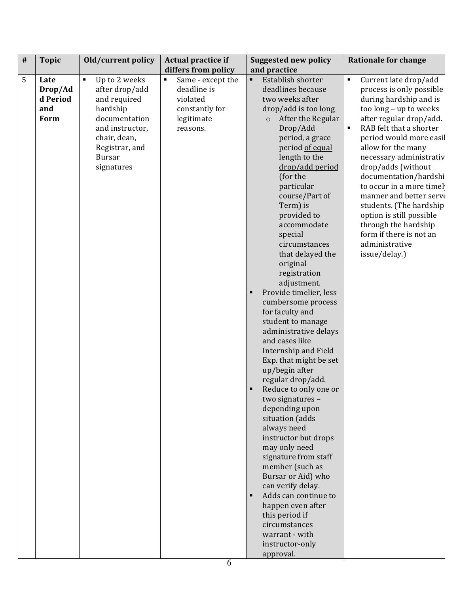| $\#$ | <b>Topic</b> | Old/current policy              | Actual practice if                  | <b>Suggested new policy</b>           | <b>Rationale for change</b>               |
|------|--------------|---------------------------------|-------------------------------------|---------------------------------------|-------------------------------------------|
|      |              |                                 | differs from policy                 | and practice                          |                                           |
| 5    | Late         | Up to 2 weeks<br>$\blacksquare$ | Same - except the<br>$\blacksquare$ | $\blacksquare$<br>Establish shorter   | Current late drop/add<br>$\blacksquare$   |
|      | Drop/Ad      | after drop/add                  | deadline is                         | deadlines because                     | process is only possible                  |
|      | d Period     | and required                    | violated                            | two weeks after                       | during hardship and is                    |
|      | and          | hardship                        | constantly for                      | drop/add is too long                  | too long - up to weeks                    |
|      | Form         | documentation                   | legitimate                          | After the Regular<br>$\circ$          | after regular drop/add.                   |
|      |              | and instructor,                 | reasons.                            | Drop/Add                              | RAB felt that a shorter<br>$\blacksquare$ |
|      |              | chair, dean,                    |                                     | period, a grace                       | period would more easil                   |
|      |              | Registrar, and                  |                                     | period of equal                       | allow for the many                        |
|      |              | <b>Bursar</b>                   |                                     | length to the                         | necessary administrativ                   |
|      |              | signatures                      |                                     | drop/add period                       | drop/adds (without                        |
|      |              |                                 |                                     | (for the                              | documentation/hardshi                     |
|      |              |                                 |                                     | particular                            | to occur in a more timel                  |
|      |              |                                 |                                     | course/Part of                        | manner and better serve                   |
|      |              |                                 |                                     | Term) is                              | students. (The hardship                   |
|      |              |                                 |                                     | provided to                           | option is still possible                  |
|      |              |                                 |                                     | accommodate                           | through the hardship                      |
|      |              |                                 |                                     | special<br>circumstances              | form if there is not an<br>administrative |
|      |              |                                 |                                     |                                       |                                           |
|      |              |                                 |                                     | that delayed the<br>original          | issue/delay.)                             |
|      |              |                                 |                                     |                                       |                                           |
|      |              |                                 |                                     | registration                          |                                           |
|      |              |                                 |                                     | adjustment.<br>Provide timelier, less |                                           |
|      |              |                                 |                                     | cumbersome process                    |                                           |
|      |              |                                 |                                     | for faculty and                       |                                           |
|      |              |                                 |                                     | student to manage                     |                                           |
|      |              |                                 |                                     | administrative delays                 |                                           |
|      |              |                                 |                                     | and cases like                        |                                           |
|      |              |                                 |                                     | Internship and Field                  |                                           |
|      |              |                                 |                                     | Exp. that might be set                |                                           |
|      |              |                                 |                                     | up/begin after                        |                                           |
|      |              |                                 |                                     | regular drop/add.                     |                                           |
|      |              |                                 |                                     | Reduce to only one or<br>٠            |                                           |
|      |              |                                 |                                     | two signatures -                      |                                           |
|      |              |                                 |                                     | depending upon                        |                                           |
|      |              |                                 |                                     | situation (adds                       |                                           |
|      |              |                                 |                                     | always need                           |                                           |
|      |              |                                 |                                     | instructor but drops                  |                                           |
|      |              |                                 |                                     | may only need                         |                                           |
|      |              |                                 |                                     | signature from staff                  |                                           |
|      |              |                                 |                                     | member (such as                       |                                           |
|      |              |                                 |                                     | Bursar or Aid) who                    |                                           |
|      |              |                                 |                                     | can verify delay.                     |                                           |
|      |              |                                 |                                     | Adds can continue to                  |                                           |
|      |              |                                 |                                     | happen even after                     |                                           |
|      |              |                                 |                                     | this period if                        |                                           |
|      |              |                                 |                                     | circumstances                         |                                           |
|      |              |                                 |                                     | warrant - with                        |                                           |
|      |              |                                 |                                     | instructor-only                       |                                           |
|      |              |                                 |                                     | approval.                             |                                           |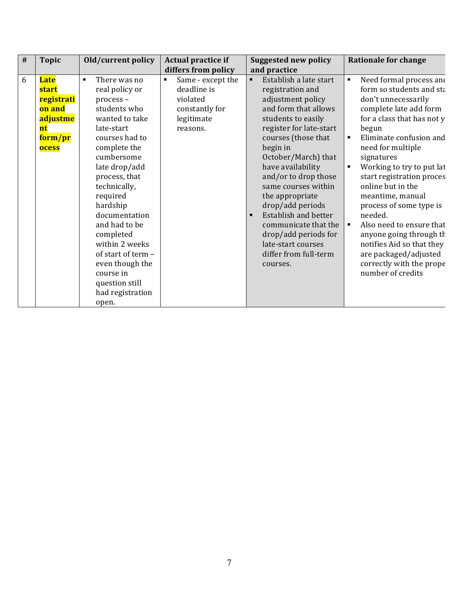| # | <b>Topic</b>                                                                              | Old/current policy                                                                                                                                                                                                                                                                                                                                                                                           | Actual practice if                                                                                         | <b>Suggested new policy</b>                                                                                                                                                                                                                                                                                                                                                                                                                                                          | <b>Rationale for change</b>                                                                                                                                                                                                                                                                                                                                                                                                                                                                                                                               |
|---|-------------------------------------------------------------------------------------------|--------------------------------------------------------------------------------------------------------------------------------------------------------------------------------------------------------------------------------------------------------------------------------------------------------------------------------------------------------------------------------------------------------------|------------------------------------------------------------------------------------------------------------|--------------------------------------------------------------------------------------------------------------------------------------------------------------------------------------------------------------------------------------------------------------------------------------------------------------------------------------------------------------------------------------------------------------------------------------------------------------------------------------|-----------------------------------------------------------------------------------------------------------------------------------------------------------------------------------------------------------------------------------------------------------------------------------------------------------------------------------------------------------------------------------------------------------------------------------------------------------------------------------------------------------------------------------------------------------|
|   |                                                                                           |                                                                                                                                                                                                                                                                                                                                                                                                              | differs from policy                                                                                        | and practice                                                                                                                                                                                                                                                                                                                                                                                                                                                                         |                                                                                                                                                                                                                                                                                                                                                                                                                                                                                                                                                           |
| 6 | <b>Late</b><br><b>start</b><br>registrati<br>on and<br>adjustme<br>nt<br>form/pr<br>ocess | There was no<br>$\blacksquare$<br>real policy or<br>process-<br>students who<br>wanted to take<br>late-start<br>courses had to<br>complete the<br>cumbersome<br>late drop/add<br>process, that<br>technically,<br>required<br>hardship<br>documentation<br>and had to be<br>completed<br>within 2 weeks<br>of start of term -<br>even though the<br>course in<br>question still<br>had registration<br>open. | Same - except the<br>$\blacksquare$<br>deadline is<br>violated<br>constantly for<br>legitimate<br>reasons. | Establish a late start<br>$\blacksquare$<br>registration and<br>adjustment policy<br>and form that allows<br>students to easily<br>register for late-start<br>courses (those that<br>begin in<br>October/March) that<br>have availability<br>and/or to drop those<br>same courses within<br>the appropriate<br>drop/add periods<br>Establish and better<br>$\blacksquare$<br>communicate that the<br>drop/add periods for<br>late-start courses<br>differ from full-term<br>courses. | Need formal process and<br>٠<br>form so students and sta<br>don't unnecessarily<br>complete late add form<br>for a class that has not y<br>begun<br>Eliminate confusion and<br>need for multiple<br>signatures<br>Working to try to put lat<br>$\blacksquare$<br>start registration proces<br>online but in the<br>meantime, manual<br>process of some type is<br>needed.<br>Also need to ensure that<br>$\blacksquare$<br>anyone going through th<br>notifies Aid so that they<br>are packaged/adjusted<br>correctly with the prope<br>number of credits |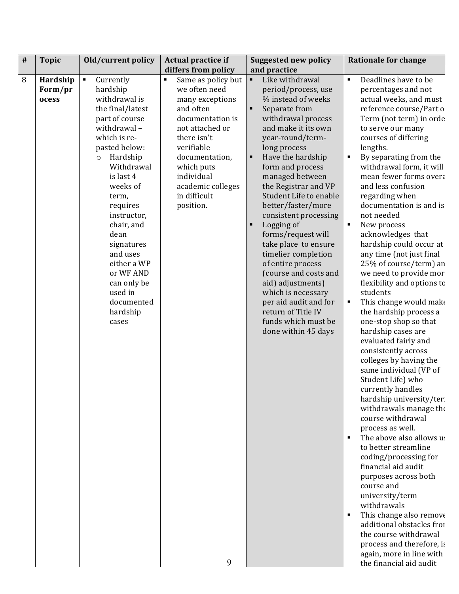| $\#$ | <b>Topic</b>                 | Old/current policy                                                                                                                                                                                                                                                                                                                                                                        | Actual practice if                                                                                                                                                                                                                                | <b>Suggested new policy</b>                                                                                                                                                                                                                                                                                                                                                                                                                                                                                                                                                                                                           | <b>Rationale for change</b>                                                                                                                                                                                                                                                                                                                                                                                                                                                                                                                                                                                                                                                                                                                                                                                                                                                                                                                                                                                                                                                                                                                                                                                                                                                                                             |
|------|------------------------------|-------------------------------------------------------------------------------------------------------------------------------------------------------------------------------------------------------------------------------------------------------------------------------------------------------------------------------------------------------------------------------------------|---------------------------------------------------------------------------------------------------------------------------------------------------------------------------------------------------------------------------------------------------|---------------------------------------------------------------------------------------------------------------------------------------------------------------------------------------------------------------------------------------------------------------------------------------------------------------------------------------------------------------------------------------------------------------------------------------------------------------------------------------------------------------------------------------------------------------------------------------------------------------------------------------|-------------------------------------------------------------------------------------------------------------------------------------------------------------------------------------------------------------------------------------------------------------------------------------------------------------------------------------------------------------------------------------------------------------------------------------------------------------------------------------------------------------------------------------------------------------------------------------------------------------------------------------------------------------------------------------------------------------------------------------------------------------------------------------------------------------------------------------------------------------------------------------------------------------------------------------------------------------------------------------------------------------------------------------------------------------------------------------------------------------------------------------------------------------------------------------------------------------------------------------------------------------------------------------------------------------------------|
|      |                              |                                                                                                                                                                                                                                                                                                                                                                                           | differs from policy                                                                                                                                                                                                                               | and practice                                                                                                                                                                                                                                                                                                                                                                                                                                                                                                                                                                                                                          |                                                                                                                                                                                                                                                                                                                                                                                                                                                                                                                                                                                                                                                                                                                                                                                                                                                                                                                                                                                                                                                                                                                                                                                                                                                                                                                         |
| 8    | Hardship<br>Form/pr<br>ocess | $\blacksquare$<br>Currently<br>hardship<br>withdrawal is<br>the final/latest<br>part of course<br>withdrawal-<br>which is re-<br>pasted below:<br>Hardship<br>$\circ$<br>Withdrawal<br>is last 4<br>weeks of<br>term,<br>requires<br>instructor,<br>chair, and<br>dean<br>signatures<br>and uses<br>either a WP<br>or WF AND<br>can only be<br>used in<br>documented<br>hardship<br>cases | Same as policy but<br>٠<br>we often need<br>many exceptions<br>and often<br>documentation is<br>not attached or<br>there isn't<br>verifiable<br>documentation,<br>which puts<br>individual<br>academic colleges<br>in difficult<br>position.<br>9 | Like withdrawal<br>$\blacksquare$<br>period/process, use<br>% instead of weeks<br>Separate from<br>٠<br>withdrawal process<br>and make it its own<br>year-round/term-<br>long process<br>Have the hardship<br>٠<br>form and process<br>managed between<br>the Registrar and VP<br>Student Life to enable<br>better/faster/more<br>consistent processing<br>Logging of<br>п<br>forms/request will<br>take place to ensure<br>timelier completion<br>of entire process<br>(course and costs and<br>aid) adjustments)<br>which is necessary<br>per aid audit and for<br>return of Title IV<br>funds which must be<br>done within 45 days | Deadlines have to be<br>$\blacksquare$<br>percentages and not<br>actual weeks, and must<br>reference course/Part o<br>Term (not term) in orde<br>to serve our many<br>courses of differing<br>lengths.<br>$\blacksquare$<br>By separating from the<br>withdrawal form, it will<br>mean fewer forms overa<br>and less confusion<br>regarding when<br>documentation is and is<br>not needed<br>$\blacksquare$<br>New process<br>acknowledges that<br>hardship could occur at<br>any time (not just final<br>25% of course/term) an<br>we need to provide mor-<br>flexibility and options to<br>students<br>This change would make<br>the hardship process a<br>one-stop shop so that<br>hardship cases are<br>evaluated fairly and<br>consistently across<br>colleges by having the<br>same individual (VP of<br>Student Life) who<br>currently handles<br>hardship university/teri<br>withdrawals manage the<br>course withdrawal<br>process as well.<br>The above also allows us<br>to better streamline<br>coding/processing for<br>financial aid audit<br>purposes across both<br>course and<br>university/term<br>withdrawals<br>This change also remove<br>$\blacksquare$<br>additional obstacles fror<br>the course withdrawal<br>process and therefore, is<br>again, more in line with<br>the financial aid audit |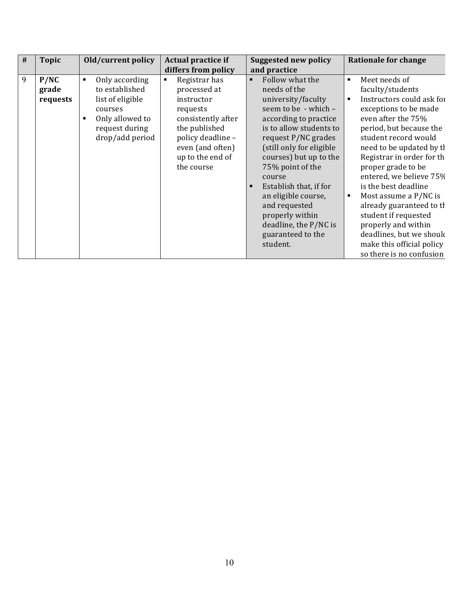| # | <b>Topic</b>              | Old/current policy                                                                                                                             | Actual practice if<br>differs from policy                                                                                                                                                   | <b>Suggested new policy</b><br>and practice                                                                                                                                                                                                                                                                                                                                                                        | <b>Rationale for change</b>                                                                                                                                                                                                                                                                                                                                                                                                                                                                                                     |
|---|---------------------------|------------------------------------------------------------------------------------------------------------------------------------------------|---------------------------------------------------------------------------------------------------------------------------------------------------------------------------------------------|--------------------------------------------------------------------------------------------------------------------------------------------------------------------------------------------------------------------------------------------------------------------------------------------------------------------------------------------------------------------------------------------------------------------|---------------------------------------------------------------------------------------------------------------------------------------------------------------------------------------------------------------------------------------------------------------------------------------------------------------------------------------------------------------------------------------------------------------------------------------------------------------------------------------------------------------------------------|
| 9 | P/NC<br>grade<br>requests | Only according<br>$\blacksquare$<br>to established<br>list of eligible<br>courses<br>Only allowed to<br>в<br>request during<br>drop/add period | Registrar has<br>$\blacksquare$<br>processed at<br>instructor<br>requests<br>consistently after<br>the published<br>policy deadline -<br>even (and often)<br>up to the end of<br>the course | Follow what the<br>$\blacksquare$<br>needs of the<br>university/faculty<br>seem to be - which -<br>according to practice<br>is to allow students to<br>request P/NC grades<br>(still only for eligible<br>courses) but up to the<br>75% point of the<br>course<br>Establish that, if for<br>٠<br>an eligible course,<br>and requested<br>properly within<br>deadline, the P/NC is<br>guaranteed to the<br>student. | Meet needs of<br>$\blacksquare$<br>faculty/students<br>Instructors could ask for<br>$\blacksquare$<br>exceptions to be made<br>even after the 75%<br>period, but because the<br>student record would<br>need to be updated by th<br>Registrar in order for th<br>proper grade to be<br>entered, we believe 75%<br>is the best deadline<br>Most assume a P/NC is<br>already guaranteed to th<br>student if requested<br>properly and within<br>deadlines, but we should<br>make this official policy<br>so there is no confusion |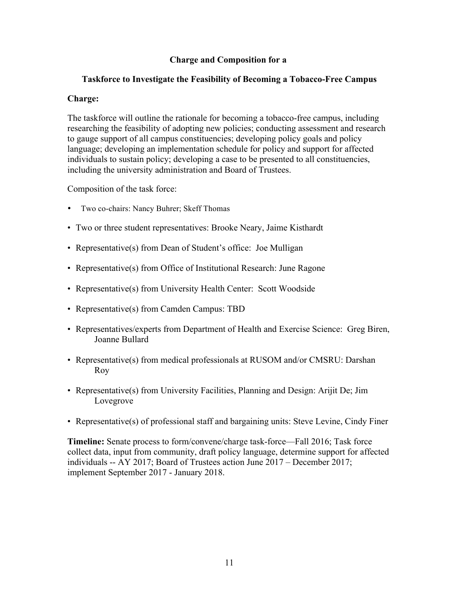# **Charge and Composition for a**

## **Taskforce to Investigate the Feasibility of Becoming a Tobacco-Free Campus**

### **Charge:**

The taskforce will outline the rationale for becoming a tobacco-free campus, including researching the feasibility of adopting new policies; conducting assessment and research to gauge support of all campus constituencies; developing policy goals and policy language; developing an implementation schedule for policy and support for affected individuals to sustain policy; developing a case to be presented to all constituencies, including the university administration and Board of Trustees.

Composition of the task force:

- Two co-chairs: Nancy Buhrer; Skeff Thomas
- Two or three student representatives: Brooke Neary, Jaime Kisthardt
- Representative(s) from Dean of Student's office: Joe Mulligan
- Representative(s) from Office of Institutional Research: June Ragone
- Representative(s) from University Health Center: Scott Woodside
- Representative(s) from Camden Campus: TBD
- Representatives/experts from Department of Health and Exercise Science: Greg Biren, Joanne Bullard
- Representative(s) from medical professionals at RUSOM and/or CMSRU: Darshan Roy
- Representative(s) from University Facilities, Planning and Design: Arijit De; Jim Lovegrove
- Representative(s) of professional staff and bargaining units: Steve Levine, Cindy Finer

**Timeline:** Senate process to form/convene/charge task-force—Fall 2016; Task force collect data, input from community, draft policy language, determine support for affected individuals -- AY 2017; Board of Trustees action June 2017 – December 2017; implement September 2017 - January 2018.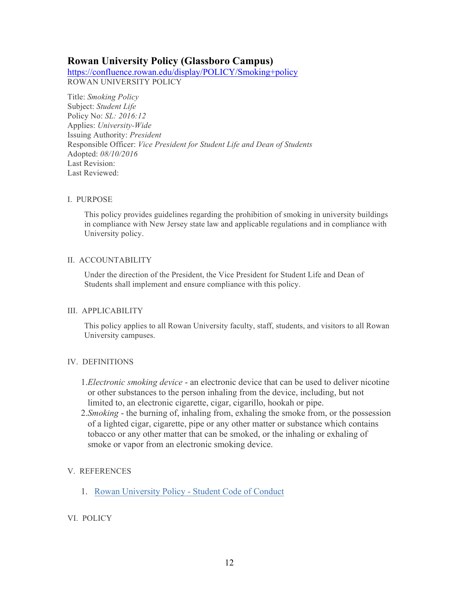# **Rowan University Policy (Glassboro Campus)**

https://confluence.rowan.edu/display/POLICY/Smoking+policy ROWAN UNIVERSITY POLICY

Title: *Smoking Policy* Subject: *Student Life* Policy No: *SL: 2016:12* Applies: *University-Wide* Issuing Authority: *President* Responsible Officer: *Vice President for Student Life and Dean of Students* Adopted: *08/10/2016* Last Revision: Last Reviewed:

#### I. PURPOSE

This policy provides guidelines regarding the prohibition of smoking in university buildings in compliance with New Jersey state law and applicable regulations and in compliance with University policy.

#### II. ACCOUNTABILITY

Under the direction of the President, the Vice President for Student Life and Dean of Students shall implement and ensure compliance with this policy.

#### III. APPLICABILITY

This policy applies to all Rowan University faculty, staff, students, and visitors to all Rowan University campuses.

### IV. DEFINITIONS

- 1.*Electronic smoking device* an electronic device that can be used to deliver nicotine or other substances to the person inhaling from the device, including, but not limited to, an electronic cigarette, cigar, cigarillo, hookah or pipe.
- 2.*Smoking* the burning of, inhaling from, exhaling the smoke from, or the possession of a lighted cigar, cigarette, pipe or any other matter or substance which contains tobacco or any other matter that can be smoked, or the inhaling or exhaling of smoke or vapor from an electronic smoking device.

### V. REFERENCES

1. Rowan University Policy - Student Code of Conduct

#### VI. POLICY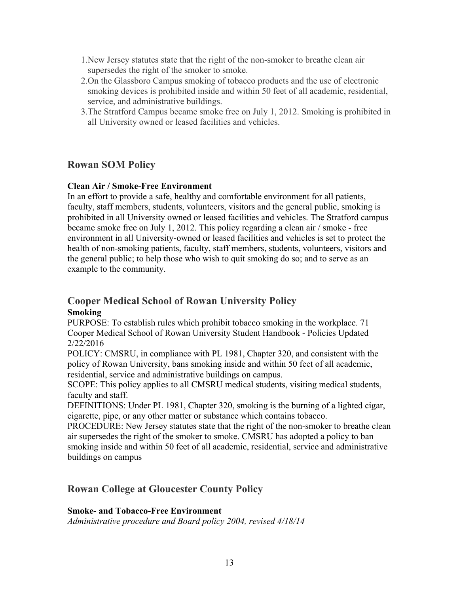- 1.New Jersey statutes state that the right of the non-smoker to breathe clean air supersedes the right of the smoker to smoke.
- 2.On the Glassboro Campus smoking of tobacco products and the use of electronic smoking devices is prohibited inside and within 50 feet of all academic, residential, service, and administrative buildings.
- 3.The Stratford Campus became smoke free on July 1, 2012. Smoking is prohibited in all University owned or leased facilities and vehicles.

# **Rowan SOM Policy**

### **Clean Air / Smoke-Free Environment**

In an effort to provide a safe, healthy and comfortable environment for all patients, faculty, staff members, students, volunteers, visitors and the general public, smoking is prohibited in all University owned or leased facilities and vehicles. The Stratford campus became smoke free on July 1, 2012. This policy regarding a clean air / smoke - free environment in all University-owned or leased facilities and vehicles is set to protect the health of non-smoking patients, faculty, staff members, students, volunteers, visitors and the general public; to help those who wish to quit smoking do so; and to serve as an example to the community.

# **Cooper Medical School of Rowan University Policy Smoking**

PURPOSE: To establish rules which prohibit tobacco smoking in the workplace. 71 Cooper Medical School of Rowan University Student Handbook - Policies Updated 2/22/2016

POLICY: CMSRU, in compliance with PL 1981, Chapter 320, and consistent with the policy of Rowan University, bans smoking inside and within 50 feet of all academic, residential, service and administrative buildings on campus.

SCOPE: This policy applies to all CMSRU medical students, visiting medical students, faculty and staff.

DEFINITIONS: Under PL 1981, Chapter 320, smoking is the burning of a lighted cigar, cigarette, pipe, or any other matter or substance which contains tobacco.

PROCEDURE: New Jersey statutes state that the right of the non-smoker to breathe clean air supersedes the right of the smoker to smoke. CMSRU has adopted a policy to ban smoking inside and within 50 feet of all academic, residential, service and administrative buildings on campus

# **Rowan College at Gloucester County Policy**

### **Smoke- and Tobacco-Free Environment**

*Administrative procedure and Board policy 2004, revised 4/18/14*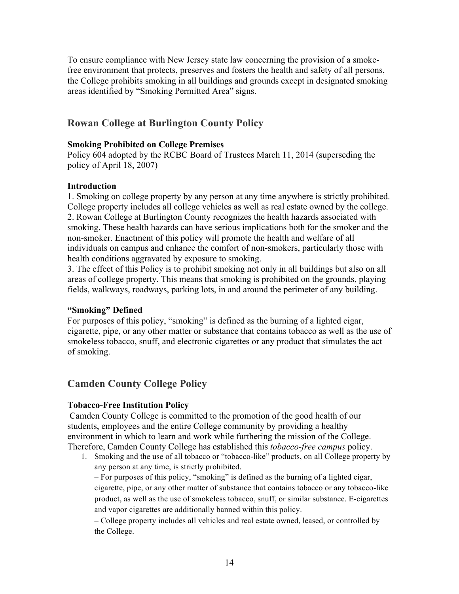To ensure compliance with New Jersey state law concerning the provision of a smokefree environment that protects, preserves and fosters the health and safety of all persons, the College prohibits smoking in all buildings and grounds except in designated smoking areas identified by "Smoking Permitted Area" signs.

# **Rowan College at Burlington County Policy**

### **Smoking Prohibited on College Premises**

Policy 604 adopted by the RCBC Board of Trustees March 11, 2014 (superseding the policy of April 18, 2007)

### **Introduction**

1. Smoking on college property by any person at any time anywhere is strictly prohibited. College property includes all college vehicles as well as real estate owned by the college. 2. Rowan College at Burlington County recognizes the health hazards associated with smoking. These health hazards can have serious implications both for the smoker and the non-smoker. Enactment of this policy will promote the health and welfare of all individuals on campus and enhance the comfort of non-smokers, particularly those with health conditions aggravated by exposure to smoking.

3. The effect of this Policy is to prohibit smoking not only in all buildings but also on all areas of college property. This means that smoking is prohibited on the grounds, playing fields, walkways, roadways, parking lots, in and around the perimeter of any building.

### **"Smoking" Defined**

For purposes of this policy, "smoking" is defined as the burning of a lighted cigar, cigarette, pipe, or any other matter or substance that contains tobacco as well as the use of smokeless tobacco, snuff, and electronic cigarettes or any product that simulates the act of smoking.

# **Camden County College Policy**

### **Tobacco-Free Institution Policy**

Camden County College is committed to the promotion of the good health of our students, employees and the entire College community by providing a healthy environment in which to learn and work while furthering the mission of the College. Therefore, Camden County College has established this *tobacco-free campus* policy.

1. Smoking and the use of all tobacco or "tobacco-like" products, on all College property by any person at any time, is strictly prohibited.

– For purposes of this policy, "smoking" is defined as the burning of a lighted cigar, cigarette, pipe, or any other matter of substance that contains tobacco or any tobacco-like product, as well as the use of smokeless tobacco, snuff, or similar substance. E-cigarettes and vapor cigarettes are additionally banned within this policy.

– College property includes all vehicles and real estate owned, leased, or controlled by the College.